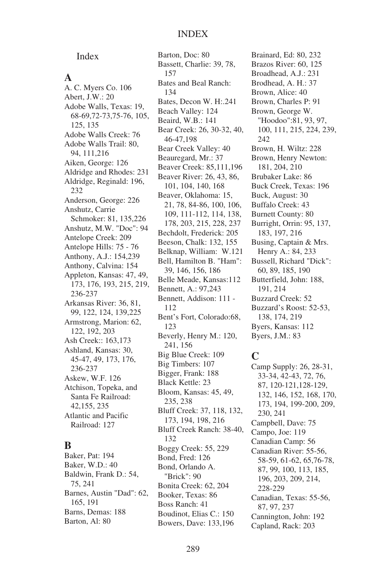Index

#### **A**

A. C. Myers Co. 106 Abert, J.W.: 20 Adobe Walls, Texas: 19, 68-69,72-73,75-76, 105, 125, 135 Adobe Walls Creek: 76 Adobe Walls Trail: 80, 94, 111,216 Aiken, George: 126 Aldridge and Rhodes: 231 Aldridge, Reginald: 196, 232 Anderson, George: 226 Anshutz, Carrie Schmoker: 81, 135,226 Anshutz, M.W. "Doc": 94 Antelope Creek: 209 Antelope Hills: 75 - 76 Anthony, A.J.: 154,239 Anthony, Calvina: 154 Appleton, Kansas: 47, 49, 173, 176, 193, 215, 219, 236-237 Arkansas River: 36, 81, 99, 122, 124, 139,225 Armstrong, Marion: 62, 122, 192, 203 Ash Creek:: 163,173 Ashland, Kansas: 30, 45-47, 49, 173, 176, 236-237 Askew, W.F. 126 Atchison, Topeka, and Santa Fe Railroad: 42,155, 235 Atlantic and Pacific Railroad: 127

## **B**

Baker, Pat: 194 Baker, W.D.: 40 Baldwin, Frank D.: 54, 75, 241 Barnes, Austin "Dad": 62, 165, 191 Barns, Demas: 188 Barton, Al: 80

Barton, Doc: 80 Bassett, Charlie: 39, 78, 157 Bates and Beal Ranch: 134 Bates, Decon W. H:.241 Beach Valley: 124 Beaird, W.B.: 141 Bear Creek: 26, 30-32, 40, 46-47,198 Bear Creek Valley: 40 Beauregard, Mr.: 37 Beaver Creek: 85,111,196 Beaver River: 26, 43, 86, 101, 104, 140, 168 Beaver, Oklahoma: 15, 21, 78, 84-86, 100, 106, 109, 111-112, 114, 138, 178, 203, 215, 228, 237 Bechdolt, Frederick: 205 Beeson, Chalk: 132, 155 Belknap, William: W.121 Bell, Hamilton B. "Ham": 39, 146, 156, 186 Belle Meade, Kansas:112 Bennett, A.: 97,243 Bennett, Addison: 111 - 112 Bent's Fort, Colorado:68, 123 Beverly, Henry M.: 120, 241, 156 Big Blue Creek: 109 Big Timbers: 107 Bigger, Frank: 188 Black Kettle: 23 Bloom, Kansas: 45, 49, 235, 238 Bluff Creek: 37, 118, 132, 173, 194, 198, 216 Bluff Creek Ranch: 38-40, 132 Boggy Creek: 55, 229 Bond, Fred: 126 Bond, Orlando A. "Brick": 90 Bonita Creek: 62, 204 Booker, Texas: 86 Boss Ranch: 41 Boudinot, Elias C.: 150

Brainard, Ed: 80, 232 Brazos River: 60, 125 Broadhead, A.J.: 231 Brodhead, A. H.: 37 Brown, Alice: 40 Brown, Charles P: 91 Brown, George W. "Hoodoo":81, 93, 97, 100, 111, 215, 224, 239, 242 Brown, H. Wiltz: 228 Brown, Henry Newton: 181, 204, 210 Brubaker Lake: 86 Buck Creek, Texas: 196 Buck, August: 30 Buffalo Creek: 43 Burnett County: 80 Burright, Orrin: 95, 137, 183, 197, 216 Busing, Captain & Mrs. Henry A.: 84, 233 Bussell, Richard "Dick": 60, 89, 185, 190 Butterfield, John: 188, 191, 214 Buzzard Creek: 52 Buzzard's Roost: 52-53, 138, 174, 219 Byers, Kansas: 112 Byers, J.M.: 83

## **C**

Camp Supply: 26, 28-31, 33-34, 42-43, 72, 76, 87, 120-121,128-129, 132, 146, 152, 168, 170, 173, 194, 199-200, 209, 230, 241 Campbell, Dave: 75 Campo, Joe: 119 Canadian Camp: 56 Canadian River: 55-56, 58-59, 61-62, 65,76-78, 87, 99, 100, 113, 185, 196, 203, 209, 214, 228-229 Canadian, Texas: 55-56, 87, 97, 237 Cannington, John: 192 Capland, Rack: 203

Bowers, Dave: 133,196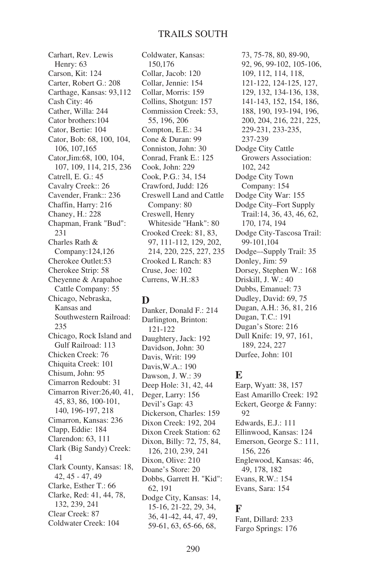#### TRAILS SOUTH

Carhart, Rev. Lewis Henry: 63 Carson, Kit: 124 Carter, Robert G.: 208 Carthage, Kansas: 93,112 Cash City: 46 Cather, Willa: 244 Cator brothers:104 Cator, Bertie: 104 Cator, Bob: 68, 100, 104, 106, 107,165 Cator,Jim:68, 100, 104, 107, 109, 114, 215, 236 Catrell, E. G.: 45 Cavalry Creek:: 26 Cavender, Frank:: 236 Chaffin, Harry: 216 Chaney, H.: 228 Chapman, Frank "Bud": 231 Charles Rath & Company:124,126 Cherokee Outlet:53 Cherokee Strip: 58 Cheyenne & Arapahoe Cattle Company: 55 Chicago, Nebraska, Kansas and Southwestern Railroad: 235 Chicago, Rock Island and Gulf Railroad: 113 Chicken Creek: 76 Chiquita Creek: 101 Chisum, John: 95 Cimarron Redoubt: 31 Cimarron River:26,40, 41, 45, 83, 86, 100-101, 140, 196-197, 218 Cimarron, Kansas: 236 Clapp, Eddie: 184 Clarendon: 63, 111 Clark (Big Sandy) Creek: 41 Clark County, Kansas: 18, 42, 45 - 47, 49 Clarke, Esther T.: 66 Clarke, Red: 41, 44, 78, 132, 239, 241 Clear Creek: 87 Coldwater Creek: 104

Coldwater, Kansas: 150,176 Collar, Jacob: 120 Collar, Jennie: 154 Collar, Morris: 159 Collins, Shotgun: 157 Commission Creek: 53, 55, 196, 206 Compton, E.E.: 34 Cone & Duran: 99 Conniston, John: 30 Conrad, Frank E.: 125 Cook, John: 229 Cook, P.G.: 34, 154 Crawford, Judd: 126 Creswell Land and Cattle Company: 80 Creswell, Henry Whiteside "Hank": 80 Crooked Creek: 81, 83, 97, 111-112, 129, 202, 214, 220, 225, 227, 235 Crooked L Ranch: 83 Cruse, Joe: 102 Currens, W.H.:83

#### **D**

Danker, Donald F.: 214 Darlington, Brinton: 121-122 Daughtery, Jack: 192 Davidson, John: 30 Davis, Writ: 199 Davis,W.A.: 190 Dawson, J. W.: 39 Deep Hole: 31, 42, 44 Deger, Larry: 156 Devil's Gap: 43 Dickerson, Charles: 159 Dixon Creek: 192, 204 Dixon Creek Station: 62 Dixon, Billy: 72, 75, 84, 126, 210, 239, 241 Dixon, Olive: 210 Doane's Store: 20 Dobbs, Garrett H. "Kid": 62, 191 Dodge City, Kansas: 14, 15-16, 21-22, 29, 34, 36, 41-42, 44, 47, 49, 59-61, 63, 65-66, 68,

73, 75-78, 80, 89-90, 92, 96, 99-102, 105-106, 109, 112, 114, 118, 121-122, 124-125, 127, 129, 132, 134-136, 138, 141-143, 152, 154, 186, 188, 190, 193-194, 196, 200, 204, 216, 221, 225, 229-231, 233-235, 237-239 Dodge City Cattle Growers Association: 102, 242 Dodge City Town Company: 154 Dodge City War: 155 Dodge City–Fort Supply Trail:14, 36, 43, 46, 62, 170, 174, 194 Dodge City-Tascosa Trail: 99-101,104 Dodge–-Supply Trail: 35 Donley, Jim: 59 Dorsey, Stephen W.: 168 Driskill, J. W.: 40 Dubbs, Emanuel: 73 Dudley, David: 69, 75 Dugan, A.H.: 36, 81, 216 Dugan, T.C.: 191 Dugan's Store: 216 Dull Knife: 19, 97, 161, 189, 224, 227 Durfee, John: 101

#### **E**

Earp, Wyatt: 38, 157 East Amarillo Creek: 192 Eckert, George & Fanny: 92 Edwards, E.J.: 111 Ellinwood, Kansas: 124 Emerson, George S.: 111, 156, 226 Englewood, Kansas: 46, 49, 178, 182 Evans, R.W.: 154 Evans, Sara: 154

#### **F**

Fant, Dillard: 233 Fargo Springs: 176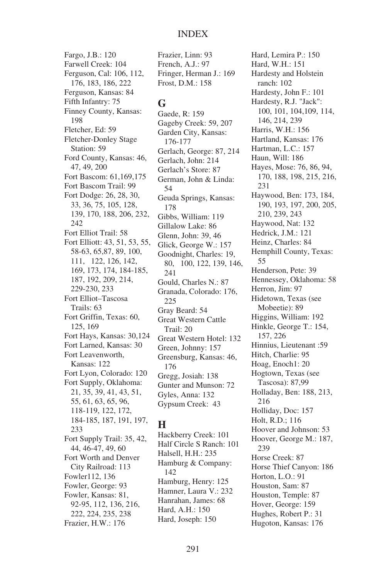Fargo, J.B.: 120 Farwell Creek: 104 Ferguson, Cal: 106, 112, 176, 183, 186, 222 Ferguson, Kansas: 84 Fifth Infantry: 75 Finney County, Kansas: 198 Fletcher, Ed: 59 Fletcher-Donley Stage Station: 59 Ford County, Kansas: 46, 47, 49, 200 Fort Bascom: 61,169,175 Fort Bascom Trail: 99 Fort Dodge: 26, 28, 30, 33, 36, 75, 105, 128, 139, 170, 188, 206, 232, 242 Fort Elliot Trail: 58 Fort Elliott: 43, 51, 53, 55, 58-63, 65,87, 89, 100, 111, 122, 126, 142, 169, 173, 174, 184-185, 187, 192, 209, 214, 229-230, 233 Fort Elliot–Tascosa Trails: 63 Fort Griffin, Texas: 60, 125, 169 Fort Hays, Kansas: 30,124 Fort Larned, Kansas: 30 Fort Leavenworth, Kansas: 122 Fort Lyon, Colorado: 120 Fort Supply, Oklahoma: 21, 35, 39, 41, 43, 51, 55, 61, 63, 65, 96, 118-119, 122, 172, 184-185, 187, 191, 197, 233 Fort Supply Trail: 35, 42, 44, 46-47, 49, 60 Fort Worth and Denver City Railroad: 113 Fowler112, 136 Fowler, George: 93 Fowler, Kansas: 81, 92-95, 112, 136, 216, 222, 224, 235, 238 Frazier, H.W.: 176

Frazier, Linn: 93 French, A.J.: 97 Fringer, Herman J.: 169 Frost, D.M.: 158

## **G**

Gaede, R: 159 Gageby Creek: 59, 207 Garden City, Kansas: 176-177 Gerlach, George: 87, 214 Gerlach, John: 214 Gerlach's Store: 87 German, John & Linda: 54 Geuda Springs, Kansas: 178 Gibbs, William: 119 Gillalow Lake: 86 Glenn, John: 39, 46 Glick, George W.: 157 Goodnight, Charles: 19, 80, 100, 122, 139, 146, 241 Gould, Charles N.: 87 Granada, Colorado: 176, 225 Gray Beard: 54 Great Western Cattle Trail: 20 Great Western Hotel: 132 Green, Johnny: 157 Greensburg, Kansas: 46, 176 Gregg, Josiah: 138 Gunter and Munson: 72 Gyles, Anna: 132 Gypsum Creek: 43

## **H**

Hackberry Creek: 101 Half Circle S Ranch: 101 Halsell, H.H.: 235 Hamburg & Company: 142 Hamburg, Henry: 125 Hamner, Laura V.: 232 Hanrahan, James: 68 Hard, A.H.: 150 Hard, Joseph: 150

Hard, Lemira P.: 150 Hard, W.H.: 151 Hardesty and Holstein ranch: 102 Hardesty, John F.: 101 Hardesty, R.J. "Jack": 100, 101, 104,109, 114, 146, 214, 239 Harris, W.H.: 156 Hartland, Kansas: 176 Hartman, L.C.: 157 Haun, Will: 186 Hayes, Mose: 76, 86, 94, 170, 188, 198, 215, 216, 231 Haywood, Ben: 173, 184, 190, 193, 197, 200, 205, 210, 239, 243 Haywood, Nat: 132 Hedrick, J.M.: 121 Heinz, Charles: 84 Hemphill County, Texas: 55 Henderson, Pete: 39 Hennessey, Oklahoma: 58 Herron, Jim: 97 Hidetown, Texas (see Mobeetie): 89 Higgins, William: 192 Hinkle, George T.: 154, 157, 226 Hinnius, Lieutenant :59 Hitch, Charlie: 95 Hoag, Enoch1: 20 Hogtown, Texas (see Tascosa): 87,99 Holladay, Ben: 188, 213, 216 Holliday, Doc: 157 Holt, R.D.; 116 Hoover and Johnson: 53 Hoover, George M.: 187, 239 Horse Creek: 87 Horse Thief Canyon: 186 Horton, L.O.: 91 Houston, Sam: 87 Houston, Temple: 87 Hover, George: 159 Hughes, Robert P.: 31 Hugoton, Kansas: 176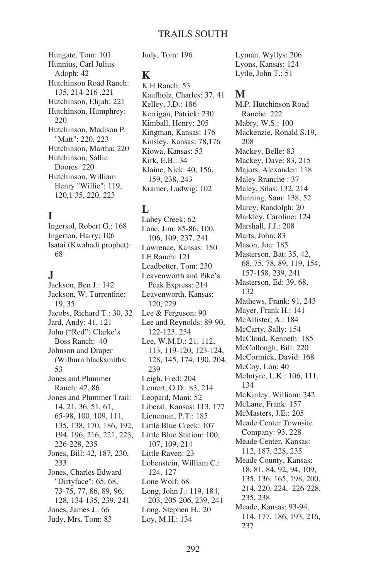Hungate, Tom: 101 Hunnius, Carl Julius Adoph: 42 Hutchinson Road Ranch: 135, 214-216 ,221 Hutchinson, Elijah: 221 Hutchinson, Humphrey: 220 Hutchinson, Madison P. "Matt": 220, 223 Hutchinson, Martha: 220 Hutchinson, Sallie Doores: 220 Hutchinson, William Henry "Willie": 119, 120,1 35, 220, 223

# **I**

Ingersol, Robert G.: 168 Ingerton, Harry: 106 Isatai (Kwahadi prophet): 68

## **J**

Jackson, Ben J.: 142 Jackson, W. Turrentine: 19, 35 Jacobs, Richard T.: 30, 32 Jard, Andy: 41, 121 John ("Red") Clarke's Boss Ranch: 40 Johnson and Draper (Wilburn blacksmiths: 53 Jones and Plummer Ranch: 42, 86 Jones and Plummer Trail: 14, 21, 36, 51, 61, 65-98, 100, 109, 111, 135, 138, 170, 186, 192, 194, 196, 216, 221, 223, 226-228, 235 Jones, Bill: 42, 187, 230, 233 Jones, Charles Edward "Dirtyface": 65, 68, 73-75, 77, 86, 89, 96, 128, 134-135, 239, 241 Jones, James J.: 66 Judy, Mrs. Tom: 83

Judy, Tom: 196

#### **K**

K H Ranch: 53 Kaufholz, Charles: 37, 41 Kelley, J.D.: 186 Kerrigan, Patrick: 230 Kimball, Henry: 205 Kingman, Kansas: 176 Kinsley, Kansas: 78,176 Kiowa, Kansas: 53 Kirk, E.B.: 34 Klaine, Nick: 40, 156, 159, 238, 243 Kramer, Ludwig: 102

## **L**

Lahey Creek: 62 Lane, Jim: 85-86, 100, 106, 109, 237, 241 Lawrence, Kansas: 150 LE Ranch: 121 Leadbetter, Tom: 230 Leavenworth and Pike's Peak Express: 214 Leavenworth, Kansas: 120, 229 Lee & Ferguson: 90 Lee and Reynolds: 89-90, 122-123, 234 Lee, W.M.D.: 21, 112, 113, 119-120, 123-124, 128, 145, 174, 190, 204, 239 Leigh, Fred: 204 Lemert, O.D.: 83, 214 Leopard, Mani: 52 Liberal, Kansas: 113, 177 Lieneman, P.T.: 185 Little Blue Creek: 107 Little Blue Station: 100, 107, 109, 214 Little Raven: 23 Lobenstein, William C.: 124, 127 Lone Wolf; 68 Long, John J.: 119, 184, 203, 205-206, 239, 241 Long, Stephen H.: 20 Loy, M.H.: 134

Lyman, Wyllys: 206 Lyons, Kansas: 124 Lytle, John T.: 51

#### **M**

M.P. Hutchinson Road Ranche: 222 Mabry, W.S.: 100 Mackenzie, Ronald S.19, 208 Mackey, Belle: 83 Mackey, Dave: 83, 215 Majors, Alexander: 118 Maley Rranche : 37 Maley, Silas: 132, 214 Manning, Sam: 138, 52 Marcy, Randolph: 20 Markley, Caroline: 124 Marshall, J.J.: 208 Marts, John: 83 Mason, Joe: 185 Masterson, Bat: 35, 42, 68, 75, 78, 89, 119, 154, 157-158, 239, 241 Masterson, Ed: 39, 68, 132 Mathews, Frank: 91, 243 Mayer, Frank H.: 141 McAllister, A.: 184 McCarty, Sally: 154 McCloud, Kenneth: 185 McCollough, Bill: 220 McCormick, David: 168 McCoy, Lon: 40 McIntyre, L.K.: 106, 111, 134 McKinley, William: 242 McLane, Frank: 157 McMasters, J.E.: 205 Meade Center Townsite Company: 93, 228 Meade Center, Kansas: 112, 187, 228, 235 Meade County, Kansas: 18, 81, 84, 92, 94, 109, 135, 136, 165, 198, 200, 214, 220, 224, 226-228, 235, 238 Meade, Kansas: 93-94, 114, 177, 186, 193, 216, 237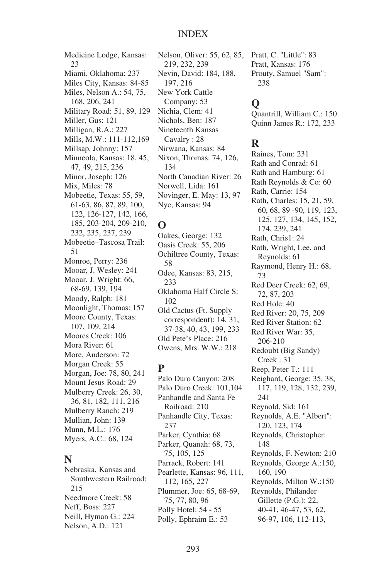#### INDEX

Medicine Lodge, Kansas: 23 Miami, Oklahoma: 237 Miles City, Kansas: 84-85 Miles, Nelson A.: 54, 75, 168, 206, 241 Military Road: 51, 89, 129 Miller, Gus: 121 Milligan, R.A.: 227 Mills, M.W.: 111-112,169 Millsap, Johnny: 157 Minneola, Kansas: 18, 45, 47, 49, 215, 236 Minor, Joseph: 126 Mix, Miles: 78 Mobeetie, Texas: 55, 59, 61-63, 86, 87, 89, 100, 122, 126-127, 142, 166, 185, 203-204, 209-210, 232, 235, 237, 239 Mobeetie–Tascosa Trail: 51 Monroe, Perry: 236 Mooar, J. Wesley: 241 Mooar, J. Wright: 66, 68-69, 139, 194 Moody, Ralph: 181 Moonlight, Thomas: 157 Moore County, Texas: 107, 109, 214 Moores Creek: 106 Mora River: 61 More, Anderson: 72 Morgan Creek: 55 Morgan, Joe: 78, 80, 241 Mount Jesus Road: 29 Mulberry Creek: 26, 30, 36, 81, 182, 111, 216 Mulberry Ranch: 219 Mullian, John: 139 Munn, M.L.: 176 Myers, A.C.: 68, 124

#### **N**

Nebraska, Kansas and Southwestern Railroad: 215 Needmore Creek: 58 Neff, Boss: 227 Neill, Hyman G.: 224 Nelson, A.D.: 121

Nelson, Oliver: 55, 62, 85, 219, 232, 239 Nevin, David: 184, 188, 197, 216 New York Cattle Company: 53 Nichia, Clem: 41 Nichols, Ben: 187 Nineteenth Kansas Cavalry : 28 Nirwana, Kansas: 84 Nixon, Thomas: 74, 126, 134 North Canadian River: 26 Norwell, Lida: 161 Novinger, E. May: 13, 97 Nye, Kansas: 94

## **O**

Oakes, George: 132 Oasis Creek: 55, 206 Ochiltree County, Texas: 58 Odee, Kansas: 83, 215, 233 Oklahoma Half Circle S: 102 Old Cactus (Ft. Supply correspondent): 14, 31, 37-38, 40, 43, 199, 233 Old Pete's Place: 216 Owens, Mrs. W.W.: 218

## **P**

Palo Duro Canyon: 208 Palo Duro Creek: 101,104 Panhandle and Santa Fe Railroad: 210 Panhandle City, Texas: 237 Parker, Cynthia: 68 Parker, Quanah: 68, 73, 75, 105, 125 Parrack, Robert: 141 Pearlette, Kansas: 96, 111, 112, 165, 227 Plummer, Joe: 65, 68-69, 75, 77, 80, 96 Polly Hotel: 54 - 55 Polly, Ephraim E.: 53

Pratt, C. "Little": 83 Pratt, Kansas: 176 Prouty, Samuel "Sam": 238

## **Q**

Quantrill, William C.: 150 Quinn James R.: 172, 233

## **R**

Raines, Tom: 231 Rath and Conrad: 61 Rath and Hamburg: 61 Rath Reynolds & Co: 60 Rath, Carrie: 154 Rath, Charles: 15, 21, 59, 60, 68, 89 -90, 119, 123, 125, 127, 134, 145, 152, 174, 239, 241 Rath, Chris1: 24 Rath, Wright, Lee, and Reynolds: 61 Raymond, Henry H.: 68, 73 Red Deer Creek: 62, 69, 72, 87, 203 Red Hole: 40 Red River: 20, 75, 209 Red River Station: 62 Red River War: 35, 206-210 Redoubt (Big Sandy) Creek : 31 Reep, Peter T.: 111 Reighard, George: 35, 38, 117, 119, 128, 132, 239, 241 Reynold, Sid: 161 Reynolds, A.E. "Albert": 120, 123, 174 Reynolds, Christopher: 148 Reynolds, F. Newton: 210 Reynolds, George A.:150, 160, 190 Reynolds, Milton W.:150 Reynolds, Philander Gillette (P.G.): 22, 40-41, 46-47, 53, 62, 96-97, 106, 112-113,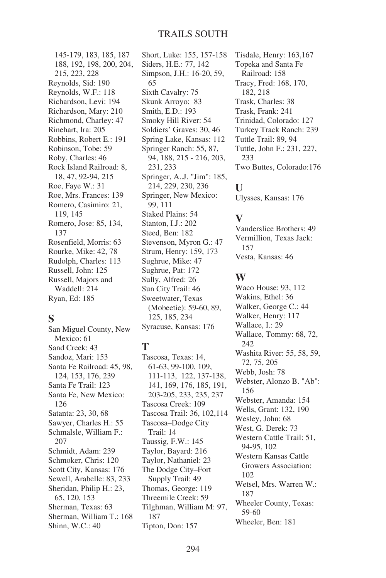145-179, 183, 185, 187 188, 192, 198, 200, 204, 215, 223, 228 Reynolds, Sid: 190 Reynolds, W.F.: 118 Richardson, Levi: 194 Richardson, Mary: 210 Richmond, Charley: 47 Rinehart, Ira: 205 Robbins, Robert E.: 191 Robinson, Tobe: 59 Roby, Charles: 46 Rock Island Railroad: 8, 18, 47, 92-94, 215 Roe, Faye W.: 31 Roe, Mrs. Frances: 139 Romero, Casimiro: 21, 119, 145 Romero, Jose: 85, 134, 137 Rosenfield, Morris: 63 Rourke, Mike: 42, 78 Rudolph, Charles: 113 Russell, John: 125 Russell, Majors and Waddell: 214 Ryan, Ed: 185

## **S**

San Miguel County, New Mexico: 61 Sand Creek: 43 Sandoz, Mari: 153 Santa Fe Railroad: 45, 98, 124, 153, 176, 239 Santa Fe Trail: 123 Santa Fe, New Mexico: 126 Satanta: 23, 30, 68 Sawyer, Charles H.: 55 Schmalsle, William F.: 207 Schmidt, Adam: 239 Schmoker, Chris: 120 Scott City, Kansas: 176 Sewell, Arabelle: 83, 233 Sheridan, Philip H.: 23, 65, 120, 153 Sherman, Texas: 63 Sherman, William T.: 168 Shinn, W.C.: 40

Short, Luke: 155, 157-158 Siders, H.E.: 77, 142 Simpson, J.H.: 16-20, 59, 65 Sixth Cavalry: 75 Skunk Arroyo: 83 Smith, E.D.: 193 Smoky Hill River: 54 Soldiers' Graves: 30, 46 Spring Lake, Kansas: 112 Springer Ranch: 55, 87, 94, 188, 215 - 216, 203, 231, 233 Springer, A..J. "Jim": 185, 214, 229, 230, 236 Springer, New Mexico: 99, 111 Staked Plains: 54 Stanton, I.J.: 202 Steed, Ben: 182 Stevenson, Myron G.: 47 Strum, Henry: 159, 173 Sughrue, Mike: 47 Sughrue, Pat: 172 Sully, Alfred: 26 Sun City Trail: 46 Sweetwater, Texas (Mobeetie): 59-60, 89, 125, 185, 234 Syracuse, Kansas: 176

## **T**

Tascosa, Texas: 14, 61-63, 99-100, 109, 111-113, 122, 137-138, 141, 169, 176, 185, 191, 203-205, 233, 235, 237 Tascosa Creek: 109 Tascosa Trail: 36, 102,114 Tascosa–Dodge City Trail: 14 Taussig, F.W.: 145 Taylor, Bayard: 216 Taylor, Nathaniel: 23 The Dodge City–Fort Supply Trail: 49 Thomas, George: 119 Threemile Creek: 59 Tilghman, William M: 97, 187 Tipton, Don: 157

Tisdale, Henry: 163,167 Topeka and Santa Fe Railroad: 158 Tracy, Fred: 168, 170, 182, 218 Trask, Charles: 38 Trask, Frank: 241 Trinidad, Colorado: 127 Turkey Track Ranch: 239 Tuttle Trail: 89, 94 Tuttle, John F.: 231, 227, 233 Two Buttes, Colorado:176

#### **U**

Ulysses, Kansas: 176

### **V**

Vanderslice Brothers: 49 Vermillion, Texas Jack: 157 Vesta, Kansas: 46

#### **W**

Waco House: 93, 112 Wakins, Ethel: 36 Walker, George C.: 44 Walker, Henry: 117 Wallace, I.: 29 Wallace, Tommy: 68, 72, 242 Washita River: 55, 58, 59, 72, 75, 205 Webb, Josh: 78 Webster, Alonzo B. "Ab": 156 Webster, Amanda: 154 Wells, Grant: 132, 190 Wesley, John: 68 West, G. Derek: 73 Western Cattle Trail: 51, 94-95, 102 Western Kansas Cattle Growers Association: 102 Wetsel, Mrs. Warren W.: 187 Wheeler County, Texas: 59-60 Wheeler, Ben: 181